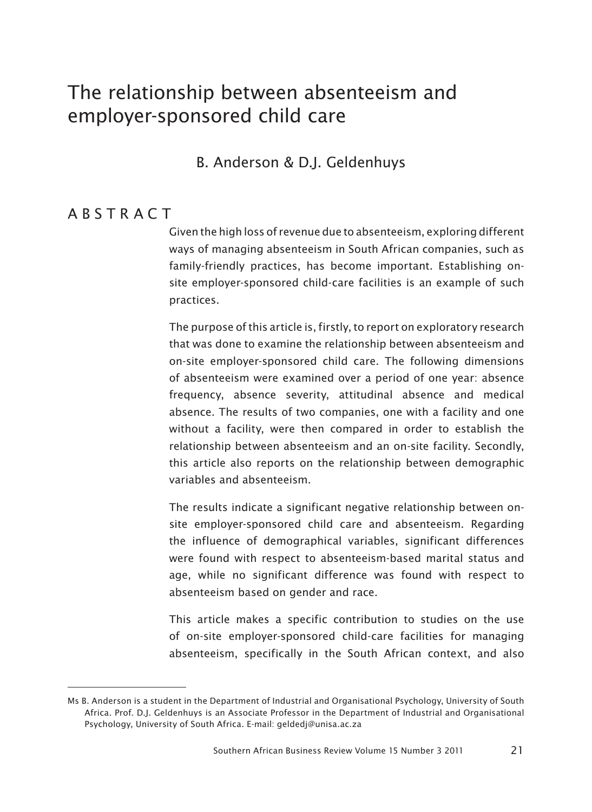# The relationship between absenteeism and employer-sponsored child care

#### B. Anderson & D.J. Geldenhuys

#### **ABSTRACT**

Given the high loss of revenue due to absenteeism, exploring different ways of managing absenteeism in South African companies, such as family-friendly practices, has become important. Establishing onsite employer-sponsored child-care facilities is an example of such practices.

The purpose of this article is, firstly, to report on exploratory research that was done to examine the relationship between absenteeism and on-site employer-sponsored child care. The following dimensions of absenteeism were examined over a period of one year: absence frequency, absence severity, attitudinal absence and medical absence. The results of two companies, one with a facility and one without a facility, were then compared in order to establish the relationship between absenteeism and an on-site facility. Secondly, this article also reports on the relationship between demographic variables and absenteeism.

5The results indicate a significant negative relationship between onsite employer-sponsored child care and absenteeism. Regarding the influence of demographical variables, significant differences were found with respect to absenteeism-based marital status and age, while no significant difference was found with respect to absenteeism based on gender and race.

This article makes a specific contribution to studies on the use of on-site employer-sponsored child-care facilities for managing absenteeism, specifically in the South African context, and also

Ms B. Anderson is a student in the Department of Industrial and Organisational Psychology, University of South Africa. Prof. D.J. Geldenhuys is an Associate Professor in the Department of Industrial and Organisational Psychology, University of South Africa. E-mail: geldedj@unisa.ac.za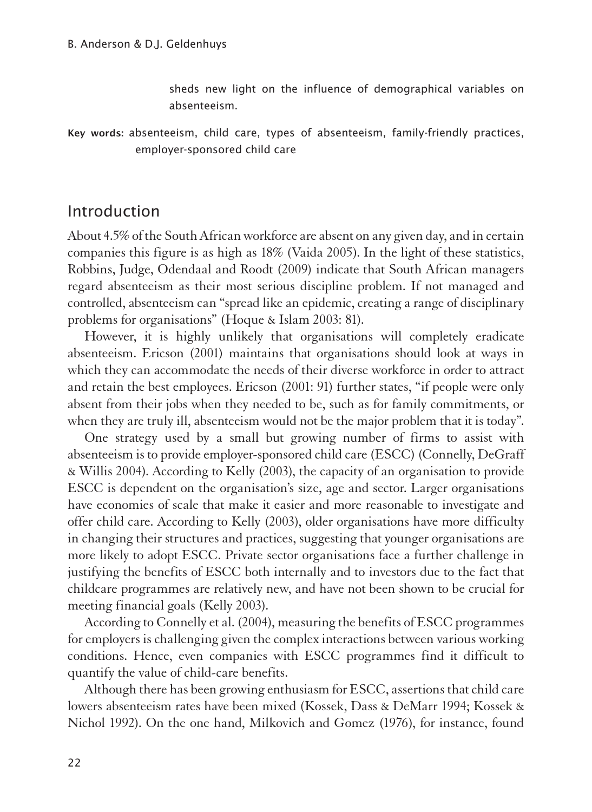sheds new light on the influence of demographical variables on absenteeism.

Key words: absenteeism, child care, types of absenteeism, family-friendly practices, employer-sponsored child care

#### Introduction

1About 4.5% of the South African workforce are absent on any given day, and in certain companies this figure is as high as 18% (Vaida 2005). In the light of these statistics, Robbins, Judge, Odendaal and Roodt (2009) indicate that South African managers regard absenteeism as their most serious discipline problem. If not managed and controlled, absenteeism can "spread like an epidemic, creating a range of disciplinary problems for organisations" (Hoque & Islam 2003: 81).

However, it is highly unlikely that organisations will completely eradicate absenteeism. Ericson (2001) maintains that organisations should look at ways in which they can accommodate the needs of their diverse workforce in order to attract and retain the best employees. Ericson (2001: 91) further states, "if people were only absent from their jobs when they needed to be, such as for family commitments, or when they are truly ill, absenteeism would not be the major problem that it is today".

One strategy used by a small but growing number of firms to assist with absenteeism is to provide employer-sponsored child care (ESCC) (Connelly, DeGraff & Willis 2004). According to Kelly (2003), the capacity of an organisation to provide ESCC is dependent on the organisation's size, age and sector. Larger organisations have economies of scale that make it easier and more reasonable to investigate and offer child care. According to Kelly (2003), older organisations have more difficulty in changing their structures and practices, suggesting that younger organisations are more likely to adopt ESCC. Private sector organisations face a further challenge in justifying the benefits of ESCC both internally and to investors due to the fact that childcare programmes are relatively new, and have not been shown to be crucial for meeting financial goals (Kelly 2003).

According to Connelly et al. (2004), measuring the benefits of ESCC programmes for employers is challenging given the complex interactions between various working conditions. Hence, even companies with ESCC programmes find it difficult to quantify the value of child-care benefits.

Although there has been growing enthusiasm for ESCC, assertions that child care lowers absenteeism rates have been mixed (Kossek, Dass & DeMarr 1994; Kossek & Nichol 1992). On the one hand, Milkovich and Gomez (1976), for instance, found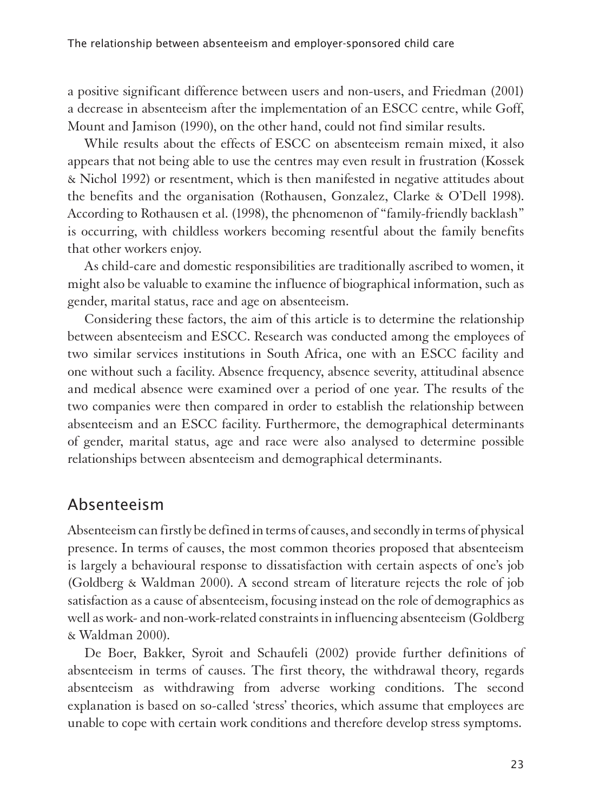a positive significant difference between users and non-users, and Friedman (2001) a decrease in absenteeism after the implementation of an ESCC centre, while Goff, Mount and Jamison (1990), on the other hand, could not find similar results.

While results about the effects of ESCC on absenteeism remain mixed, it also appears that not being able to use the centres may even result in frustration (Kossek & Nichol 1992) or resentment, which is then manifested in negative attitudes about the benefits and the organisation (Rothausen, Gonzalez, Clarke & O'Dell 1998). According to Rothausen et al. (1998), the phenomenon of "family-friendly backlash" is occurring, with childless workers becoming resentful about the family benefits that other workers enjoy.

As child-care and domestic responsibilities are traditionally ascribed to women, it might also be valuable to examine the influence of biographical information, such as gender, marital status, race and age on absenteeism.

Considering these factors, the aim of this article is to determine the relationship between absenteeism and ESCC. Research was conducted among the employees of two similar services institutions in South Africa, one with an ESCC facility and one without such a facility. Absence frequency, absence severity, attitudinal absence and medical absence were examined over a period of one year. The results of the two companies were then compared in order to establish the relationship between absenteeism and an ESCC facility. Furthermore, the demographical determinants of gender, marital status, age and race were also analysed to determine possible relationships between absenteeism and demographical determinants.

#### Absenteeism

1Absenteeism can firstly be defined in terms of causes, and secondly in terms of physical presence. In terms of causes, the most common theories proposed that absenteeism is largely a behavioural response to dissatisfaction with certain aspects of one's job (Goldberg & Waldman 2000). A second stream of literature rejects the role of job satisfaction as a cause of absenteeism, focusing instead on the role of demographics as well as work- and non-work-related constraints in influencing absenteeism (Goldberg & Waldman 2000).

De Boer, Bakker, Syroit and Schaufeli (2002) provide further definitions of absenteeism in terms of causes. The first theory, the withdrawal theory, regards absenteeism as withdrawing from adverse working conditions. The second explanation is based on so-called 'stress' theories, which assume that employees are unable to cope with certain work conditions and therefore develop stress symptoms.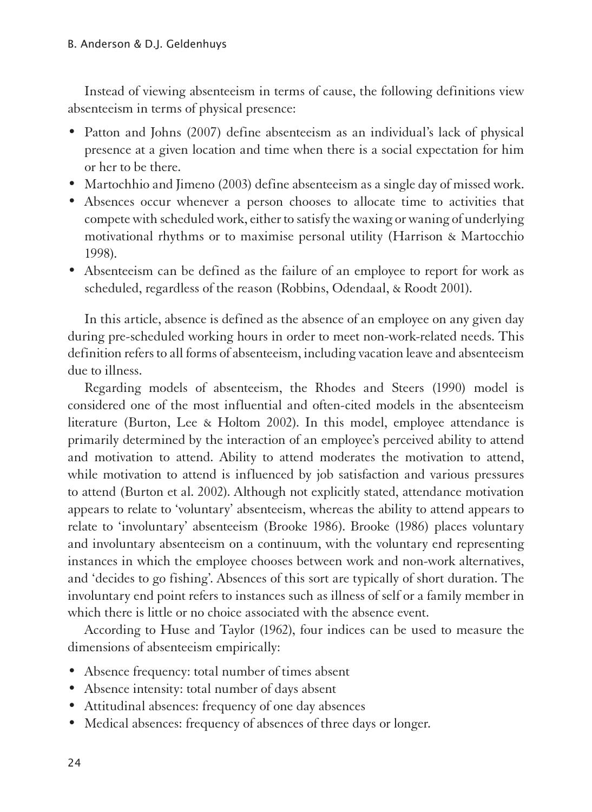Instead of viewing absenteeism in terms of cause, the following definitions view absenteeism in terms of physical presence:

- Patton and Johns (2007) define absenteeism as an individual's lack of physical presence at a given location and time when there is a social expectation for him or her to be there.
- Martochhio and Jimeno (2003) define absenteeism as a single day of missed work.
- Absences occur whenever a person chooses to allocate time to activities that compete with scheduled work, either to satisfy the waxing or waning of underlying motivational rhythms or to maximise personal utility (Harrison & Martocchio 1998).
- Absenteeism can be defined as the failure of an employee to report for work as scheduled, regardless of the reason (Robbins, Odendaal, & Roodt 2001).

In this article, absence is defined as the absence of an employee on any given day during pre-scheduled working hours in order to meet non-work-related needs. This definition refers to all forms of absenteeism, including vacation leave and absenteeism due to illness.

Regarding models of absenteeism, the Rhodes and Steers (1990) model is considered one of the most influential and often-cited models in the absenteeism literature (Burton, Lee & Holtom 2002). In this model, employee attendance is primarily determined by the interaction of an employee's perceived ability to attend and motivation to attend. Ability to attend moderates the motivation to attend, while motivation to attend is influenced by job satisfaction and various pressures to attend (Burton et al. 2002). Although not explicitly stated, attendance motivation appears to relate to 'voluntary' absenteeism, whereas the ability to attend appears to relate to 'involuntary' absenteeism (Brooke 1986). Brooke (1986) places voluntary and involuntary absenteeism on a continuum, with the voluntary end representing instances in which the employee chooses between work and non-work alternatives, and 'decides to go fishing'. Absences of this sort are typically of short duration. The involuntary end point refers to instances such as illness of self or a family member in which there is little or no choice associated with the absence event.

According to Huse and Taylor (1962), four indices can be used to measure the dimensions of absenteeism empirically:

- Absence frequency: total number of times absent
- Absence intensity: total number of days absent
- Attitudinal absences: frequency of one day absences
- Medical absences: frequency of absences of three days or longer.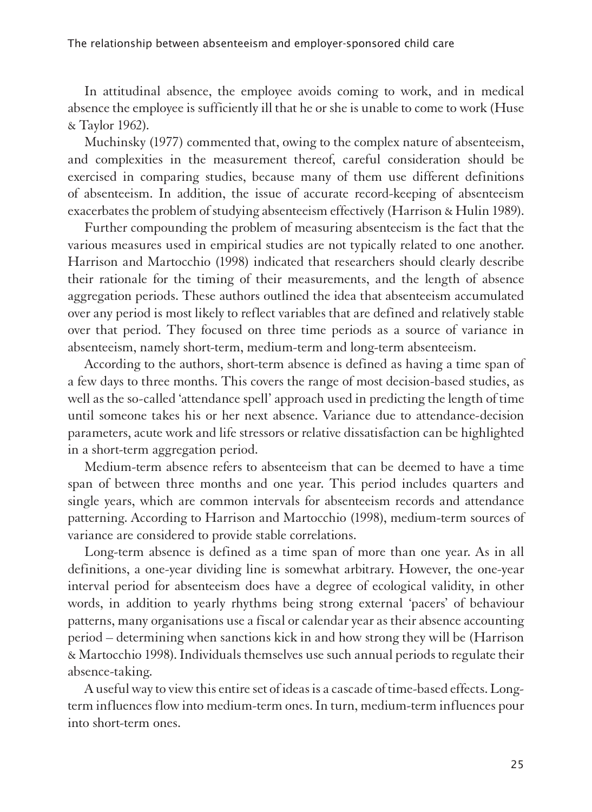In attitudinal absence, the employee avoids coming to work, and in medical absence the employee is sufficiently ill that he or she is unable to come to work (Huse & Taylor 1962).

Muchinsky (1977) commented that, owing to the complex nature of absenteeism, and complexities in the measurement thereof, careful consideration should be exercised in comparing studies, because many of them use different definitions of absenteeism. In addition, the issue of accurate record-keeping of absenteeism exacerbates the problem of studying absenteeism effectively (Harrison & Hulin 1989).

Further compounding the problem of measuring absenteeism is the fact that the various measures used in empirical studies are not typically related to one another. Harrison and Martocchio (1998) indicated that researchers should clearly describe their rationale for the timing of their measurements, and the length of absence aggregation periods. These authors outlined the idea that absenteeism accumulated over any period is most likely to reflect variables that are defined and relatively stable over that period. They focused on three time periods as a source of variance in absenteeism, namely short-term, medium-term and long-term absenteeism.

According to the authors, short-term absence is defined as having a time span of a few days to three months. This covers the range of most decision-based studies, as well as the so-called 'attendance spell' approach used in predicting the length of time until someone takes his or her next absence. Variance due to attendance-decision parameters, acute work and life stressors or relative dissatisfaction can be highlighted in a short-term aggregation period.

Medium-term absence refers to absenteeism that can be deemed to have a time span of between three months and one year. This period includes quarters and single years, which are common intervals for absenteeism records and attendance patterning. According to Harrison and Martocchio (1998), medium-term sources of variance are considered to provide stable correlations.

Long-term absence is defined as a time span of more than one year. As in all definitions, a one-year dividing line is somewhat arbitrary. However, the one-year interval period for absenteeism does have a degree of ecological validity, in other words, in addition to yearly rhythms being strong external 'pacers' of behaviour patterns, many organisations use a fiscal or calendar year as their absence accounting period – determining when sanctions kick in and how strong they will be (Harrison & Martocchio 1998). Individuals themselves use such annual periods to regulate their absence-taking.

A useful way to view this entire set of ideas is a cascade of time-based effects. Longterm influences flow into medium-term ones. In turn, medium-term influences pour into short-term ones.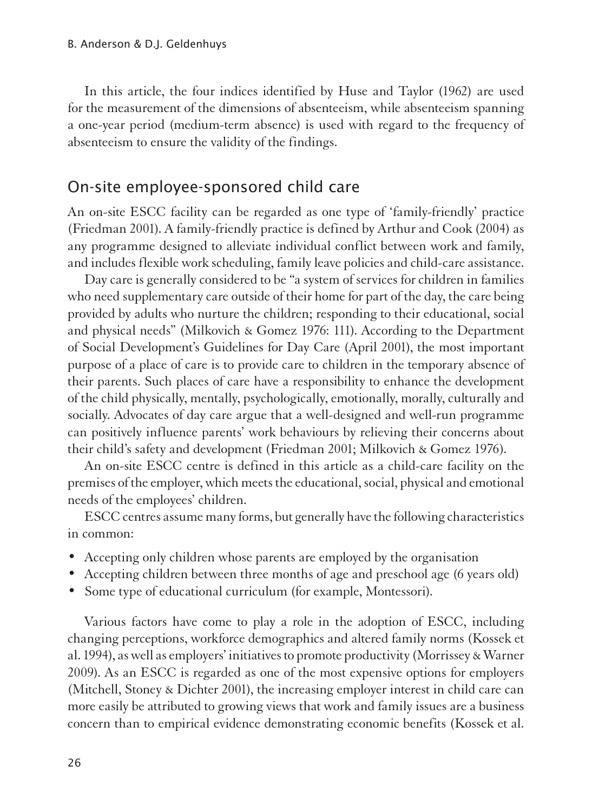In this article, the four indices identified by Huse and Taylor (1962) are used for the measurement of the dimensions of absenteeism, while absenteeism spanning a one-year period (medium-term absence) is used with regard to the frequency of absenteeism to ensure the validity of the findings.

#### On-site employee-sponsored child care

1An on-site ESCC facility can be regarded as one type of 'family-friendly' practice (Friedman 2001). A family-friendly practice is defined by Arthur and Cook (2004) as any programme designed to alleviate individual conflict between work and family, and includes flexible work scheduling, family leave policies and child-care assistance.

Day care is generally considered to be "a system of services for children in families who need supplementary care outside of their home for part of the day, the care being provided by adults who nurture the children; responding to their educational, social and physical needs" (Milkovich & Gomez 1976: 111). According to the Department of Social Development's Guidelines for Day Care (April 2001), the most important purpose of a place of care is to provide care to children in the temporary absence of their parents. Such places of care have a responsibility to enhance the development of the child physically, mentally, psychologically, emotionally, morally, culturally and socially. Advocates of day care argue that a well-designed and well-run programme can positively influence parents' work behaviours by relieving their concerns about their child's safety and development (Friedman 2001; Milkovich & Gomez 1976).

An on-site ESCC centre is defined in this article as a child-care facility on the premises of the employer, which meets the educational, social, physical and emotional needs of the employees' children.

ESCC centres assume many forms, but generally have the following characteristics in common:

- Accepting only children whose parents are employed by the organisation
- Accepting children between three months of age and preschool age (6 years old)
- Some type of educational curriculum (for example, Montessori).

Various factors have come to play a role in the adoption of ESCC, including changing perceptions, workforce demographics and altered family norms (Kossek et al. 1994), as well as employers' initiatives to promote productivity (Morrissey & Warner 2009). As an ESCC is regarded as one of the most expensive options for employers (Mitchell, Stoney & Dichter 2001), the increasing employer interest in child care can more easily be attributed to growing views that work and family issues are a business concern than to empirical evidence demonstrating economic benefits (Kossek et al.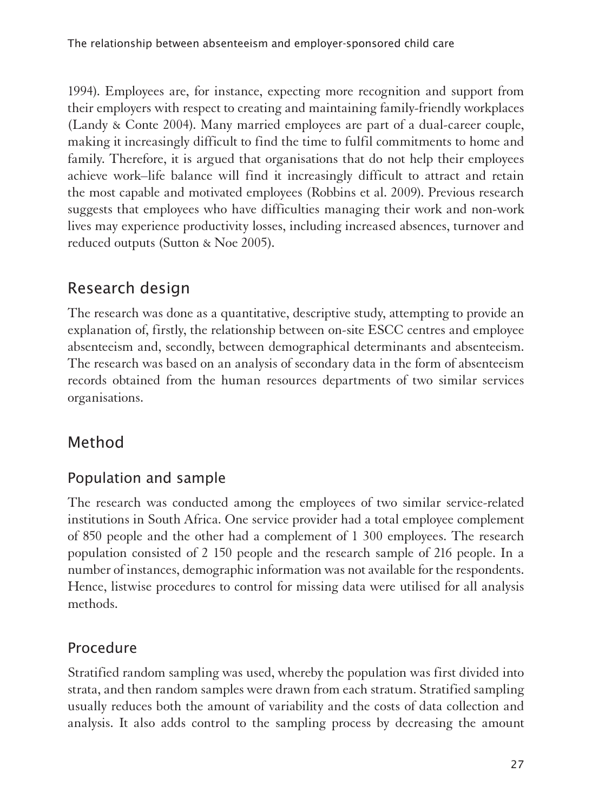1994). Employees are, for instance, expecting more recognition and support from their employers with respect to creating and maintaining family-friendly workplaces (Landy & Conte 2004). Many married employees are part of a dual-career couple, making it increasingly difficult to find the time to fulfil commitments to home and family. Therefore, it is argued that organisations that do not help their employees achieve work–life balance will find it increasingly difficult to attract and retain the most capable and motivated employees (Robbins et al. 2009). Previous research suggests that employees who have difficulties managing their work and non-work lives may experience productivity losses, including increased absences, turnover and reduced outputs (Sutton & Noe 2005).

# Research design

1The research was done as a quantitative, descriptive study, attempting to provide an explanation of, firstly, the relationship between on-site ESCC centres and employee absenteeism and, secondly, between demographical determinants and absenteeism. The research was based on an analysis of secondary data in the form of absenteeism records obtained from the human resources departments of two similar services organisations.

## Method

## Population and sample

The research was conducted among the employees of two similar service-related institutions in South Africa. One service provider had a total employee complement of 850 people and the other had a complement of 1 300 employees. The research population consisted of 2 150 people and the research sample of 216 people. In a number of instances, demographic information was not available for the respondents. Hence, listwise procedures to control for missing data were utilised for all analysis methods.

#### Procedure

1Stratified random sampling was used, whereby the population was first divided into strata, and then random samples were drawn from each stratum. Stratified sampling usually reduces both the amount of variability and the costs of data collection and analysis. It also adds control to the sampling process by decreasing the amount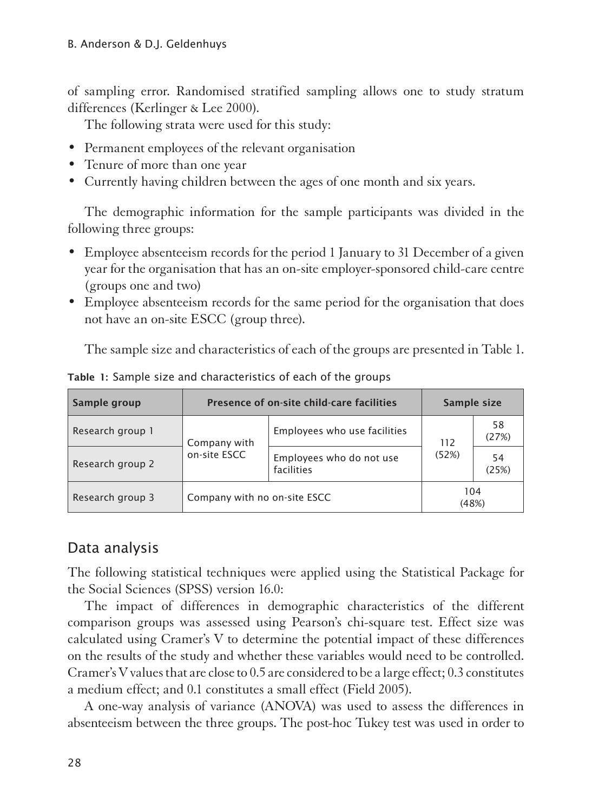of sampling error. Randomised stratified sampling allows one to study stratum differences (Kerlinger & Lee 2000).

The following strata were used for this study:

- Permanent employees of the relevant organisation
- Tenure of more than one year
- Currently having children between the ages of one month and six years.

The demographic information for the sample participants was divided in the following three groups:

- Employee absenteeism records for the period 1 January to 31 December of a given year for the organisation that has an on-site employer-sponsored child-care centre (groups one and two)
- Employee absenteeism records for the same period for the organisation that does not have an on-site ESCC (group three).

The sample size and characteristics of each of the groups are presented in Table 1.

| Sample group     | Presence of on-site child-care facilities | Sample size                            |              |             |
|------------------|-------------------------------------------|----------------------------------------|--------------|-------------|
| Research group 1 | Company with                              | Employees who use facilities           | 112          | 58<br>(27%) |
| Research group 2 | on-site ESCC                              | Employees who do not use<br>facilities | (52%)        | 54<br>(25%) |
| Research group 3 | Company with no on-site ESCC              |                                        | 104<br>(48%) |             |

Table 1: Sample size and characteristics of each of the groups

#### Data analysis

The following statistical techniques were applied using the Statistical Package for the Social Sciences (SPSS) version 16.0:

The impact of differences in demographic characteristics of the different comparison groups was assessed using Pearson's chi-square test. Effect size was calculated using Cramer's V to determine the potential impact of these differences on the results of the study and whether these variables would need to be controlled. Cramer's V values that are close to 0.5 are considered to be a large effect; 0.3 constitutes a medium effect; and 0.1 constitutes a small effect (Field 2005).

A one-way analysis of variance (ANOVA) was used to assess the differences in absenteeism between the three groups. The post-hoc Tukey test was used in order to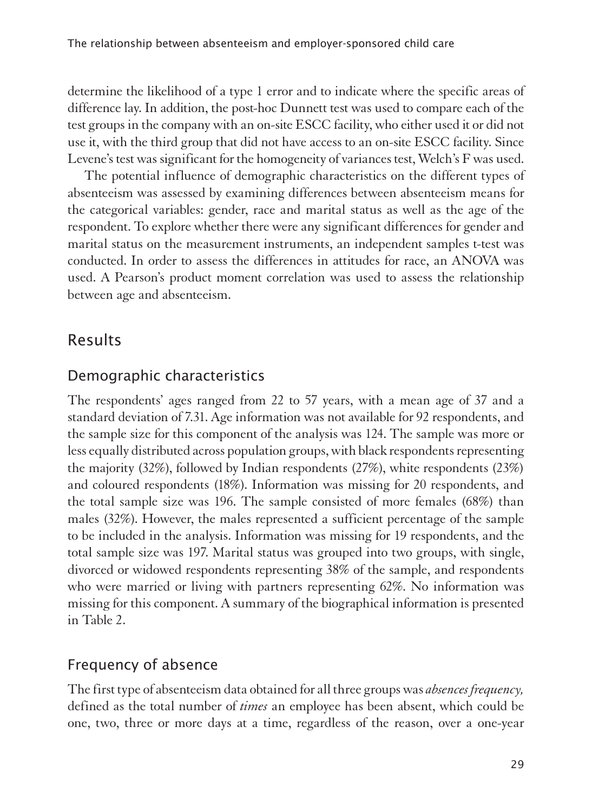determine the likelihood of a type 1 error and to indicate where the specific areas of difference lay. In addition, the post-hoc Dunnett test was used to compare each of the test groups in the company with an on-site ESCC facility, who either used it or did not use it, with the third group that did not have access to an on-site ESCC facility. Since Levene's test was significant for the homogeneity of variances test, Welch's F was used.

The potential influence of demographic characteristics on the different types of absenteeism was assessed by examining differences between absenteeism means for the categorical variables: gender, race and marital status as well as the age of the respondent. To explore whether there were any significant differences for gender and marital status on the measurement instruments, an independent samples t-test was conducted. In order to assess the differences in attitudes for race, an ANOVA was used. A Pearson's product moment correlation was used to assess the relationship between age and absenteeism.

# Results

#### Demographic characteristics

1The respondents' ages ranged from 22 to 57 years, with a mean age of 37 and a standard deviation of 7.31. Age information was not available for 92 respondents, and the sample size for this component of the analysis was 124. The sample was more or less equally distributed across population groups, with black respondents representing the majority (32%), followed by Indian respondents (27%), white respondents (23%) and coloured respondents (18%). Information was missing for 20 respondents, and the total sample size was 196. The sample consisted of more females (68%) than males (32%). However, the males represented a sufficient percentage of the sample to be included in the analysis. Information was missing for 19 respondents, and the total sample size was 197. Marital status was grouped into two groups, with single, divorced or widowed respondents representing 38% of the sample, and respondents who were married or living with partners representing 62%. No information was missing for this component. A summary of the biographical information is presented in Table 2.

#### Frequency of absence

1The first type of absenteeism data obtained for all three groups was *absences frequency,*  defined as the total number of *times* an employee has been absent, which could be one, two, three or more days at a time, regardless of the reason, over a one-year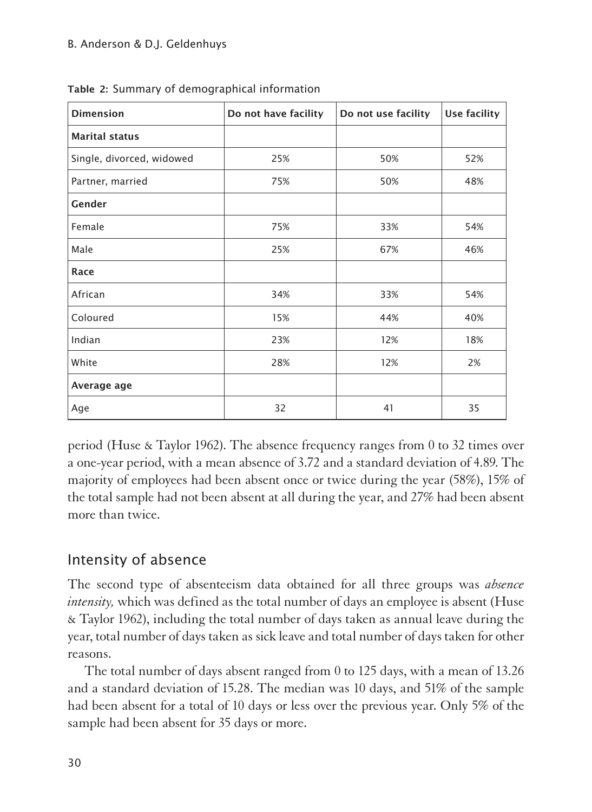| <b>Dimension</b>          | Do not have facility | Do not use facility | Use facility |
|---------------------------|----------------------|---------------------|--------------|
| <b>Marital status</b>     |                      |                     |              |
| Single, divorced, widowed | 25%                  | 50%                 | 52%          |
| Partner, married          | 75%                  | 50%                 | 48%          |
| Gender                    |                      |                     |              |
| Female                    | 75%                  | 33%                 | 54%          |
| Male                      | 25%                  | 67%                 | 46%          |
| Race                      |                      |                     |              |
| African                   | 34%                  | 33%                 | 54%          |
| Coloured                  | 15%                  | 44%                 | 40%          |
| Indian                    | 23%                  | 12%                 | 18%          |
| White                     | 28%                  | 12%                 | 2%           |
| Average age               |                      |                     |              |
| Age                       | 32                   | 41                  | 35           |

Table 2: Summary of demographical information

period (Huse & Taylor 1962). The absence frequency ranges from 0 to 32 times over a one-year period, with a mean absence of 3.72 and a standard deviation of 4.89. The majority of employees had been absent once or twice during the year (58%), 15% of the total sample had not been absent at all during the year, and 27% had been absent more than twice.

#### Intensity of absence

1The second type of absenteeism data obtained for all three groups was *absence intensity*, which was defined as the total number of days an employee is absent (Huse & Taylor 1962), including the total number of days taken as annual leave during the year, total number of days taken as sick leave and total number of days taken for other reasons.

The total number of days absent ranged from 0 to 125 days, with a mean of 13.26 and a standard deviation of 15.28. The median was 10 days, and 51% of the sample had been absent for a total of 10 days or less over the previous year. Only 5% of the sample had been absent for 35 days or more.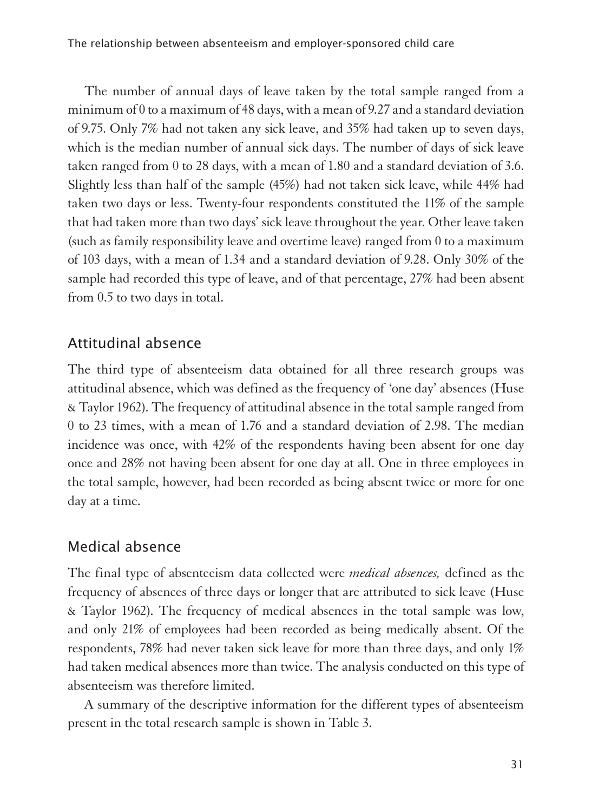The number of annual days of leave taken by the total sample ranged from a minimum of 0 to a maximum of 48 days, with a mean of 9.27 and a standard deviation of 9.75. Only 7% had not taken any sick leave, and 35% had taken up to seven days, which is the median number of annual sick days. The number of days of sick leave taken ranged from 0 to 28 days, with a mean of 1.80 and a standard deviation of 3.6. Slightly less than half of the sample (45%) had not taken sick leave, while 44% had taken two days or less. Twenty-four respondents constituted the 11% of the sample that had taken more than two days' sick leave throughout the year. Other leave taken (such as family responsibility leave and overtime leave) ranged from 0 to a maximum of 103 days, with a mean of 1.34 and a standard deviation of 9.28. Only 30% of the sample had recorded this type of leave, and of that percentage, 27% had been absent from 0.5 to two days in total.

### Attitudinal absence

The third type of absenteeism data obtained for all three research groups was attitudinal absence, which was defined as the frequency of 'one day' absences (Huse & Taylor 1962). The frequency of attitudinal absence in the total sample ranged from 0 to 23 times, with a mean of 1.76 and a standard deviation of 2.98. The median incidence was once, with 42% of the respondents having been absent for one day once and 28% not having been absent for one day at all. One in three employees in the total sample, however, had been recorded as being absent twice or more for one day at a time.

#### Medical absence

1The final type of absenteeism data collected were *medical absences,* defined as the frequency of absences of three days or longer that are attributed to sick leave (Huse & Taylor 1962). The frequency of medical absences in the total sample was low, and only 21% of employees had been recorded as being medically absent. Of the respondents, 78% had never taken sick leave for more than three days, and only 1% had taken medical absences more than twice. The analysis conducted on this type of absenteeism was therefore limited.

A summary of the descriptive information for the different types of absenteeism present in the total research sample is shown in Table 3.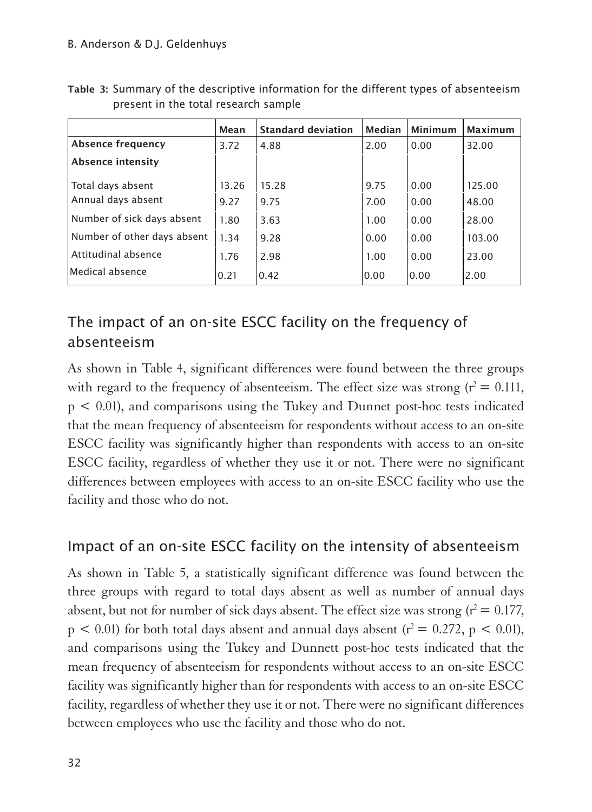|                             | Mean  | <b>Standard deviation</b> | Median | Minimum | <b>Maximum</b> |
|-----------------------------|-------|---------------------------|--------|---------|----------------|
| Absence frequency           | 3.72  | 4.88                      | 2.00   | 0.00    | 32.00          |
| Absence intensity           |       |                           |        |         |                |
| Total days absent           | 13.26 | 15.28                     | 9.75   | 0.00    | 125.00         |
| Annual days absent          | 9.27  | 9.75                      | 7.00   | 0.00    | 48.00          |
| Number of sick days absent  | 1.80  | 3.63                      | 1.00   | 0.00    | 28.00          |
| Number of other days absent | 1.34  | 9.28                      | 0.00   | 0.00    | 103.00         |
| Attitudinal absence         | 1.76  | 2.98                      | 1.00   | 0.00    | 23.00          |
| Medical absence             | 0.21  | 0.42                      | 0.00   | 0.00    | 2.00           |

Table 3: Summary of the descriptive information for the different types of absenteeism present in the total research sample

# The impact of an on-site ESCC facility on the frequency of absenteeism

1As shown in Table 4, significant differences were found between the three groups with regard to the frequency of absenteeism. The effect size was strong  $(r^2 = 0.111,$ p < 0.01), and comparisons using the Tukey and Dunnet post-hoc tests indicated that the mean frequency of absenteeism for respondents without access to an on-site ESCC facility was significantly higher than respondents with access to an on-site ESCC facility, regardless of whether they use it or not. There were no significant differences between employees with access to an on-site ESCC facility who use the facility and those who do not.

#### Impact of an on-site ESCC facility on the intensity of absenteeism

1As shown in Table 5, a statistically significant difference was found between the three groups with regard to total days absent as well as number of annual days absent, but not for number of sick days absent. The effect size was strong  $(r^2 = 0.177)$ ,  $p < 0.01$ ) for both total days absent and annual days absent ( $r^2 = 0.272$ ,  $p < 0.01$ ), and comparisons using the Tukey and Dunnett post-hoc tests indicated that the mean frequency of absenteeism for respondents without access to an on-site ESCC facility was significantly higher than for respondents with access to an on-site ESCC facility, regardless of whether they use it or not. There were no significant differences between employees who use the facility and those who do not.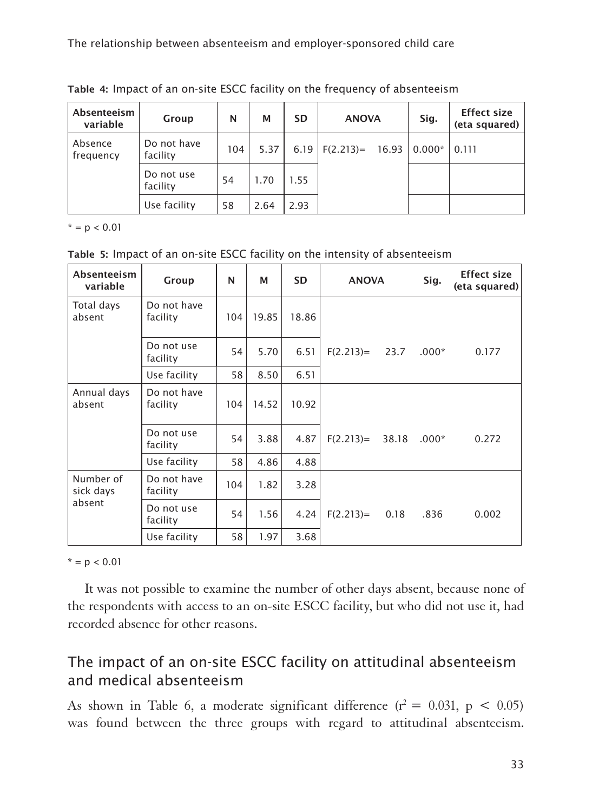The relationship between absenteeism and employer-sponsored child care

| Absenteeism<br>variable | Group                   | N   | M    | <b>SD</b> | <b>ANOVA</b> |       | Sig.     | <b>Effect size</b><br>(eta squared) |
|-------------------------|-------------------------|-----|------|-----------|--------------|-------|----------|-------------------------------------|
| Absence<br>frequency    | Do not have<br>facility | 104 | 5.37 | 6.19      | $F(2.213)=$  | 16.93 | $0.000*$ | 0.111                               |
|                         | Do not use<br>facility  | 54  | 1.70 | 1.55      |              |       |          |                                     |
|                         | Use facility            | 58  | 2.64 | 2.93      |              |       |          |                                     |

Table 4: Impact of an on-site ESCC facility on the frequency of absenteeism

 $* = p < 0.01$ 

Table 5: Impact of an on-site ESCC facility on the intensity of absenteeism

| Absenteeism<br>variable | Group                   | N   | М     | <b>SD</b> | <b>ANOVA</b> |       | Sig.    | <b>Effect size</b><br>(eta squared) |
|-------------------------|-------------------------|-----|-------|-----------|--------------|-------|---------|-------------------------------------|
| Total days<br>absent    | Do not have<br>facility | 104 | 19.85 | 18.86     |              |       |         |                                     |
|                         | Do not use<br>facility  | 54  | 5.70  | 6.51      | $F(2.213)=$  | 23.7  | $.000*$ | 0.177                               |
|                         | Use facility            | 58  | 8.50  | 6.51      |              |       |         |                                     |
| Annual days<br>absent   | Do not have<br>facility | 104 | 14.52 | 10.92     |              |       |         |                                     |
|                         | Do not use<br>facility  | 54  | 3.88  | 4.87      | $F(2.213)=$  | 38.18 | $.000*$ | 0.272                               |
|                         | Use facility            | 58  | 4.86  | 4.88      |              |       |         |                                     |
| Number of<br>sick days  | Do not have<br>facility | 104 | 1.82  | 3.28      |              |       |         |                                     |
| absent                  | Do not use<br>facility  | 54  | 1.56  | 4.24      | $F(2.213)=$  | 0.18  | .836    | 0.002                               |
|                         | Use facility            | 58  | 1.97  | 3.68      |              |       |         |                                     |

 $* = p < 0.01$ 

It was not possible to examine the number of other days absent, because none of the respondents with access to an on-site ESCC facility, but who did not use it, had recorded absence for other reasons.

#### The impact of an on-site ESCC facility on attitudinal absenteeism and medical absenteeism

As shown in Table 6, a moderate significant difference  $(r^2 = 0.031, p < 0.05)$ was found between the three groups with regard to attitudinal absenteeism.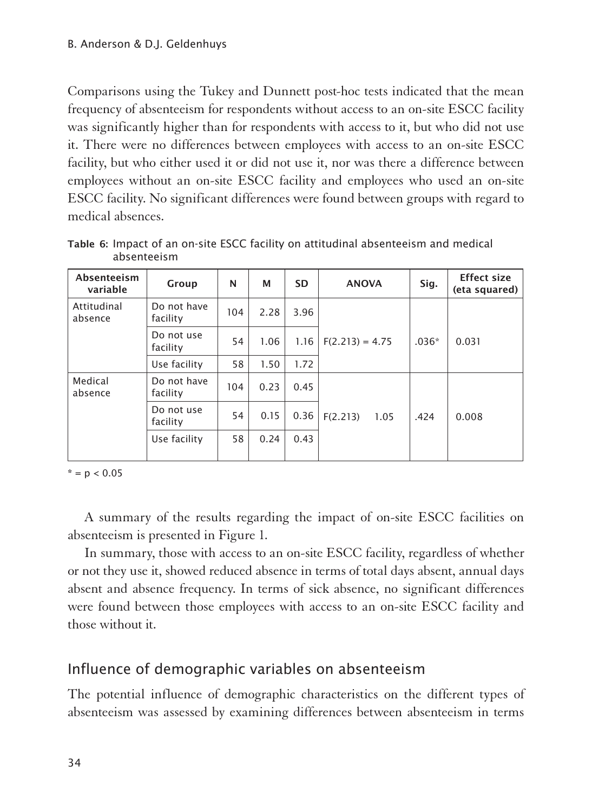Comparisons using the Tukey and Dunnett post-hoc tests indicated that the mean frequency of absenteeism for respondents without access to an on-site ESCC facility was significantly higher than for respondents with access to it, but who did not use it. There were no differences between employees with access to an on-site ESCC facility, but who either used it or did not use it, nor was there a difference between employees without an on-site ESCC facility and employees who used an on-site ESCC facility. No significant differences were found between groups with regard to medical absences.

| Absenteeism<br>variable | Group                   | N   | М    | <b>SD</b> | <b>ANOVA</b>      | Sig.    | <b>Effect size</b><br>(eta squared) |
|-------------------------|-------------------------|-----|------|-----------|-------------------|---------|-------------------------------------|
| Attitudinal<br>absence  | Do not have<br>facility | 104 | 2.28 | 3.96      |                   |         |                                     |
|                         | Do not use<br>facility  | 54  | 1.06 | 1.16      | $F(2.213) = 4.75$ | $.036*$ | 0.031                               |
|                         | Use facility            | 58  | 1.50 | 1.72      |                   |         |                                     |
| Medical<br>absence      | Do not have<br>facility | 104 | 0.23 | 0.45      |                   |         |                                     |
|                         | Do not use<br>facility  | 54  | 0.15 | 0.36      | F(2.213)<br>1.05  | .424    | 0.008                               |
|                         | Use facility            | 58  | 0.24 | 0.43      |                   |         |                                     |

Table 6: Impact of an on-site ESCC facility on attitudinal absenteeism and medical absenteeism

 $* = p < 0.05$ 

A summary of the results regarding the impact of on-site ESCC facilities on absenteeism is presented in Figure 1.

In summary, those with access to an on-site ESCC facility, regardless of whether or not they use it, showed reduced absence in terms of total days absent, annual days absent and absence frequency. In terms of sick absence, no significant differences were found between those employees with access to an on-site ESCC facility and those without it.

#### Influence of demographic variables on absenteeism

The potential influence of demographic characteristics on the different types of absenteeism was assessed by examining differences between absenteeism in terms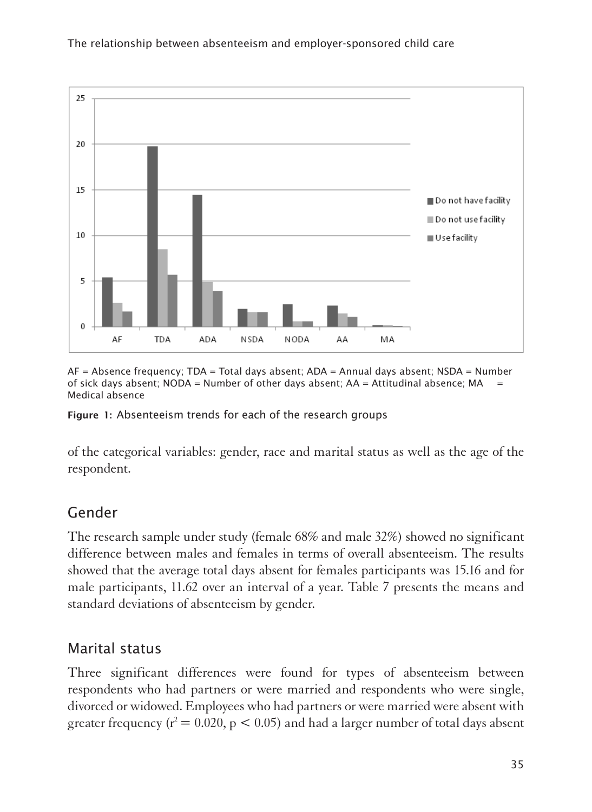

AF = Absence frequency; TDA = Total days absent; ADA = Annual days absent; NSDA = Number of sick days absent; NODA = Number of other days absent; AA = Attitudinal absence; MA = Medical absence

Figure 1: Absenteeism trends for each of the research groups

1of the categorical variables: gender, race and marital status as well as the age of the respondent.

# Gender

The research sample under study (female  $68\%$  and male  $32\%$ ) showed no significant difference between males and females in terms of overall absenteeism. The results showed that the average total days absent for females participants was 15.16 and for male participants, 11.62 over an interval of a year. Table 7 presents the means and standard deviations of absenteeism by gender.

## Marital status

1Three significant differences were found for types of absenteeism between respondents who had partners or were married and respondents who were single, divorced or widowed. Employees who had partners or were married were absent with greater frequency ( $r^2 = 0.020$ ,  $p < 0.05$ ) and had a larger number of total days absent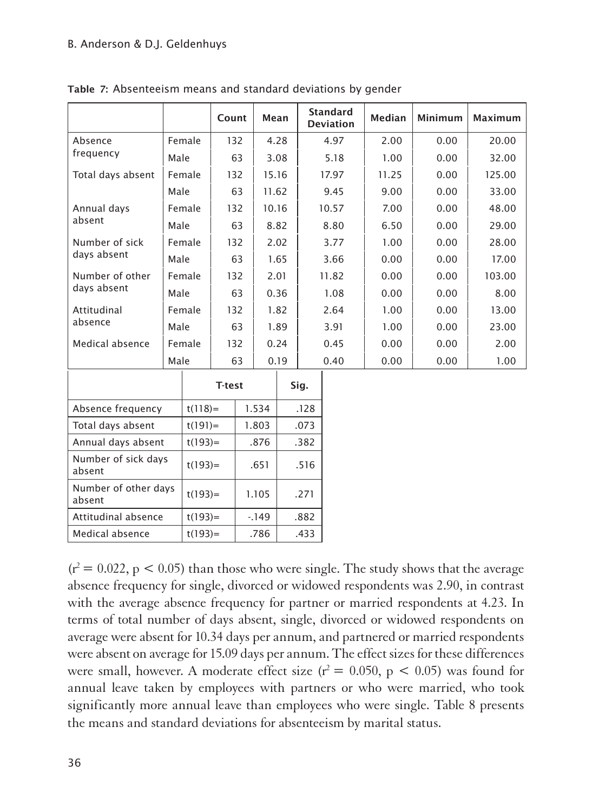|                                |      |            | Count         |    | Mean     |      |                             | <b>Standard</b><br><b>Deviation</b> | <b>Median</b> | <b>Minimum</b> | <b>Maximum</b> |
|--------------------------------|------|------------|---------------|----|----------|------|-----------------------------|-------------------------------------|---------------|----------------|----------------|
| Absence                        |      | Female     | 132           |    |          | 4.28 |                             | 4.97                                | 2.00          | 0.00           | 20.00          |
| frequency                      | Male |            |               | 63 | 3.08     |      |                             | 5.18                                | 1.00          | 0.00           | 32.00          |
| Total days absent              |      | Female     | 132           |    | 15.16    |      |                             | 17.97                               | 11.25         | 0.00           | 125.00         |
|                                | Male |            |               | 63 | 11.62    |      |                             | 9.45                                | 9.00          | 0.00           | 33.00          |
| Annual days                    |      | Female     | 132           |    | 10.16    |      |                             | 10.57                               | 7.00          | 0.00           | 48.00          |
| absent                         | Male |            |               | 63 | 8.82     |      |                             | 8.80                                | 6.50          | 0.00           | 29.00          |
| Number of sick                 |      | Female     | 132           |    | 2.02     |      |                             | 3.77                                | 1.00          | 0.00           | 28.00          |
| days absent                    | Male |            |               | 63 | 1.65     |      |                             | 3.66                                | 0.00          | 0.00           | 17.00          |
| Number of other<br>days absent |      | Female     | 132           |    |          | 2.01 |                             | 11.82                               | 0.00          | 0.00           | 103.00         |
|                                | Male |            |               | 63 |          | 0.36 |                             | 1.08                                | 0.00          | 0.00           | 8.00           |
| Attitudinal                    |      | Female     | 132           |    | 1.82     |      |                             | 2.64                                | 1.00          | 0.00           | 13.00          |
| absence                        | Male |            |               | 63 | 1.89     |      |                             | 3.91                                | 1.00          | 0.00           | 23.00          |
| Medical absence                |      | Female     | 132           |    | 0.24     |      |                             | 0.45                                | 0.00          | 0.00           | 2.00           |
|                                | Male |            |               | 63 | 0.19     |      |                             | 0.40                                | 0.00          | 0.00           | 1.00           |
|                                |      |            | <b>T-test</b> |    |          |      | Sig.                        |                                     |               |                |                |
| Absence frequency              |      | $t(118) =$ |               |    | 1.534    |      | .128                        |                                     |               |                |                |
| Total days absent              |      | $t(191) =$ |               |    | 1.803    |      | .073                        |                                     |               |                |                |
| Annual days absent             |      | $t(193) =$ |               |    | .876     |      | .382                        |                                     |               |                |                |
| Number of sick days<br>absent  |      | $t(193) =$ |               |    | .651     |      | .516                        |                                     |               |                |                |
| Number of other days           |      | (102)      |               |    | $\cdots$ |      | $\sim$ $\rightarrow$ $\sim$ |                                     |               |                |                |

Table 7: Absenteeism means and standard deviations by gender

absent  $\left| \begin{array}{c} t(193)= \\ t(193)= \end{array} \right|$  1.105 .271 Attitudinal absence  $|t(193)=$   $|$  -.149  $|$  .882 Medical absence  $|t(193)= |786|$  .433

 $(r^2 = 0.022, p < 0.05)$  than those who were single. The study shows that the average absence frequency for single, divorced or widowed respondents was 2.90, in contrast with the average absence frequency for partner or married respondents at 4.23. In terms of total number of days absent, single, divorced or widowed respondents on average were absent for 10.34 days per annum, and partnered or married respondents were absent on average for 15.09 days per annum. The effect sizes for these differences were small, however. A moderate effect size  $(r^2 = 0.050, p < 0.05)$  was found for annual leave taken by employees with partners or who were married, who took significantly more annual leave than employees who were single. Table 8 presents the means and standard deviations for absenteeism by marital status.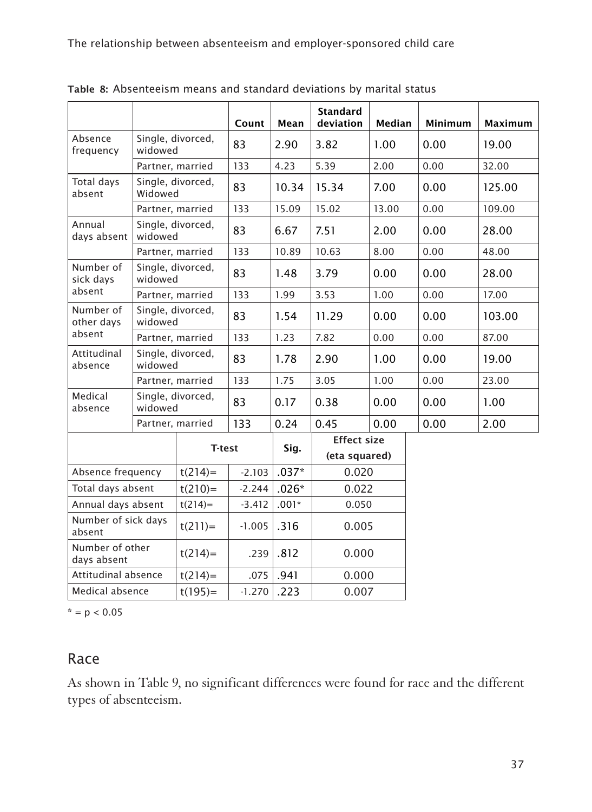|                                |                              |                   | Count    | Mean    | <b>Standard</b><br>deviation | Median | Minimum | Maximum |
|--------------------------------|------------------------------|-------------------|----------|---------|------------------------------|--------|---------|---------|
| Absence                        |                              |                   |          |         |                              |        |         |         |
| frequency                      | Single, divorced,<br>widowed |                   | 83       | 2.90    | 3.82                         | 1.00   | 0.00    | 19.00   |
|                                |                              | Partner, married  | 133      | 4.23    | 5.39                         | 2.00   | 0.00    | 32.00   |
| Total days<br>absent           | Widowed                      | Single, divorced, | 83       | 10.34   | 15.34                        | 7.00   | 0.00    | 125.00  |
|                                |                              | Partner, married  | 133      | 15.09   | 15.02                        | 13.00  | 0.00    | 109.00  |
| Annual<br>days absent          | widowed                      | Single, divorced, | 83       | 6.67    | 7.51                         | 2.00   | 0.00    | 28.00   |
|                                |                              | Partner, married  | 133      | 10.89   | 10.63                        | 8.00   | 0.00    | 48.00   |
| Number of<br>sick days         | widowed                      | Single, divorced, | 83       | 1.48    | 3.79                         | 0.00   | 0.00    | 28.00   |
| absent                         |                              | Partner, married  | 133      | 1.99    | 3.53                         | 1.00   | 0.00    | 17.00   |
| Number of<br>other days        | Single, divorced,<br>widowed |                   | 83       | 1.54    | 11.29                        | 0.00   | 0.00    | 103.00  |
| absent                         |                              | Partner, married  | 133      | 1.23    | 7.82                         | 0.00   | 0.00    | 87.00   |
| Attitudinal<br>absence         | widowed                      | Single, divorced, | 83       | 1.78    | 2.90                         | 1.00   | 0.00    | 19.00   |
|                                |                              | Partner, married  | 133      | 1.75    | 3.05                         | 1.00   | 0.00    | 23.00   |
| Medical<br>absence             | widowed                      | Single, divorced, | 83       | 0.17    | 0.38                         | 0.00   | 0.00    | 1.00    |
|                                |                              | Partner, married  | 133      | 0.24    | 0.45                         | 0.00   | 0.00    | 2.00    |
|                                |                              |                   |          |         | <b>Effect size</b>           |        |         |         |
|                                |                              | <b>T-test</b>     |          | Sig.    | (eta squared)                |        |         |         |
| Absence frequency              |                              | $t(214)=$         | $-2.103$ | $.037*$ | 0.020                        |        |         |         |
| Total days absent              |                              | $t(210)=$         | $-2.244$ | $.026*$ | 0.022                        |        |         |         |
| Annual days absent             |                              | $t(214)=$         | $-3.412$ | $.001*$ | 0.050                        |        |         |         |
| Number of sick days<br>absent  |                              | $t(211)=$         | $-1.005$ | .316    | 0.005                        |        |         |         |
| Number of other<br>days absent |                              | $t(214)=$         | .239     | .812    | 0.000                        |        |         |         |
| Attitudinal absence            |                              | $t(214)=$         | .075     | .941    | 0.000                        |        |         |         |
| Medical absence                |                              | $t(195) =$        | $-1.270$ | .223    | 0.007                        |        |         |         |

Table 8: Absenteeism means and standard deviations by marital status

 $* = p < 0.05$ 

#### Race

As shown in Table 9, no significant differences were found for race and the different types of absenteeism.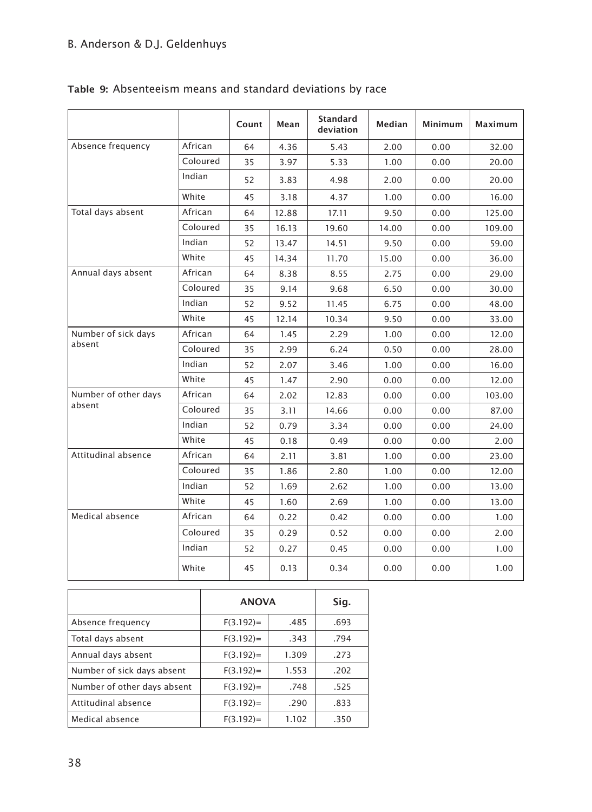#### B. Anderson & D.J. Geldenhuys

|  |  | Table 9: Absenteeism means and standard deviations by race |  |  |  |  |  |
|--|--|------------------------------------------------------------|--|--|--|--|--|
|--|--|------------------------------------------------------------|--|--|--|--|--|

|                      |          | Count | Mean  | <b>Standard</b><br>deviation | Median | <b>Minimum</b> | Maximum |
|----------------------|----------|-------|-------|------------------------------|--------|----------------|---------|
| Absence frequency    | African  | 64    | 4.36  | 5.43                         | 2.00   | 0.00           | 32.00   |
|                      | Coloured | 35    | 3.97  | 5.33                         | 1.00   | 0.00           | 20.00   |
|                      | Indian   | 52    | 3.83  | 4.98                         | 2.00   | 0.00           | 20.00   |
|                      | White    | 45    | 3.18  | 4.37                         | 1.00   | 0.00           | 16.00   |
| Total days absent    | African  | 64    | 12.88 | 17.11                        | 9.50   | 0.00           | 125.00  |
|                      | Coloured | 35    | 16.13 | 19.60                        | 14.00  | 0.00           | 109.00  |
|                      | Indian   | 52    | 13.47 | 14.51                        | 9.50   | 0.00           | 59.00   |
|                      | White    | 45    | 14.34 | 11.70                        | 15.00  | 0.00           | 36.00   |
| Annual days absent   | African  | 64    | 8.38  | 8.55                         | 2.75   | 0.00           | 29.00   |
|                      | Coloured | 35    | 9.14  | 9.68                         | 6.50   | 0.00           | 30.00   |
|                      | Indian   | 52    | 9.52  | 11.45                        | 6.75   | 0.00           | 48.00   |
|                      | White    | 45    | 12.14 | 10.34                        | 9.50   | 0.00           | 33.00   |
| Number of sick days  | African  | 64    | 1.45  | 2.29                         | 1.00   | 0.00           | 12.00   |
| absent               | Coloured | 35    | 2.99  | 6.24                         | 0.50   | 0.00           | 28.00   |
|                      | Indian   | 52    | 2.07  | 3.46                         | 1.00   | 0.00           | 16.00   |
|                      | White    | 45    | 1.47  | 2.90                         | 0.00   | 0.00           | 12.00   |
| Number of other days | African  | 64    | 2.02  | 12.83                        | 0.00   | 0.00           | 103.00  |
| absent               | Coloured | 35    | 3.11  | 14.66                        | 0.00   | 0.00           | 87.00   |
|                      | Indian   | 52    | 0.79  | 3.34                         | 0.00   | 0.00           | 24.00   |
|                      | White    | 45    | 0.18  | 0.49                         | 0.00   | 0.00           | 2.00    |
| Attitudinal absence  | African  | 64    | 2.11  | 3.81                         | 1.00   | 0.00           | 23.00   |
|                      | Coloured | 35    | 1.86  | 2.80                         | 1.00   | 0.00           | 12.00   |
|                      | Indian   | 52    | 1.69  | 2.62                         | 1.00   | 0.00           | 13.00   |
|                      | White    | 45    | 1.60  | 2.69                         | 1.00   | 0.00           | 13.00   |
| Medical absence      | African  | 64    | 0.22  | 0.42                         | 0.00   | 0.00           | 1.00    |
|                      | Coloured | 35    | 0.29  | 0.52                         | 0.00   | 0.00           | 2.00    |
|                      | Indian   | 52    | 0.27  | 0.45                         | 0.00   | 0.00           | 1.00    |
|                      | White    | 45    | 0.13  | 0.34                         | 0.00   | 0.00           | 1.00    |

|                             | <b>ANOVA</b> | Sig.  |      |
|-----------------------------|--------------|-------|------|
| Absence frequency           | $F(3.192) =$ | .485  | .693 |
| Total days absent           | $F(3.192) =$ | .343  | .794 |
| Annual days absent          | $F(3.192) =$ | 1.309 | .273 |
| Number of sick days absent  | $F(3.192) =$ | 1.553 | .202 |
| Number of other days absent | $F(3.192) =$ | .748  | .525 |
| Attitudinal absence         | $F(3.192) =$ | .290  | .833 |
| Medical absence             | $F(3.192) =$ | 1.102 | .350 |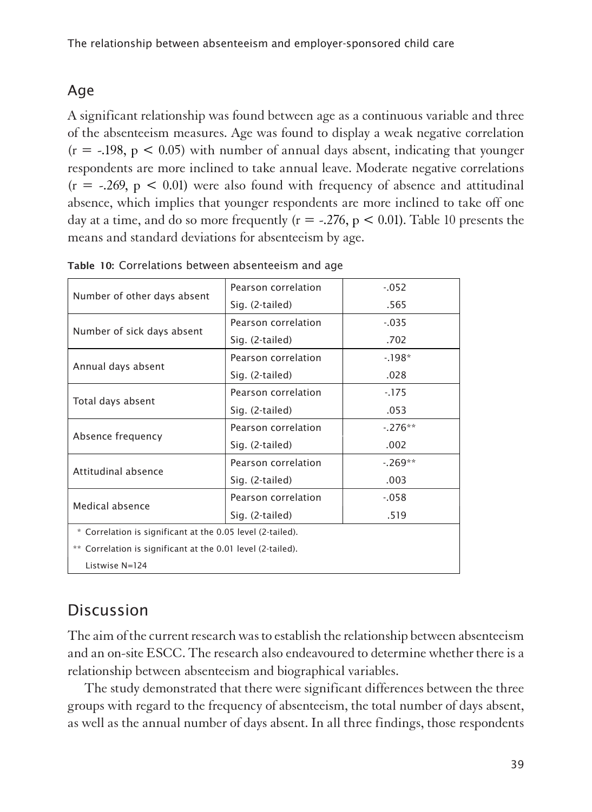## Age

1A significant relationship was found between age as a continuous variable and three of the absenteeism measures. Age was found to display a weak negative correlation  $(r = -198, p < 0.05)$  with number of annual days absent, indicating that younger respondents are more inclined to take annual leave. Moderate negative correlations  $(r = -.269, p < 0.01)$  were also found with frequency of absence and attitudinal absence, which implies that younger respondents are more inclined to take off one day at a time, and do so more frequently ( $r = -.276$ ,  $p < 0.01$ ). Table 10 presents the means and standard deviations for absenteeism by age.

|                                                             | Pearson correlation | $-052$   |  |  |  |  |  |  |
|-------------------------------------------------------------|---------------------|----------|--|--|--|--|--|--|
| Number of other days absent                                 | Sig. (2-tailed)     | .565     |  |  |  |  |  |  |
|                                                             | Pearson correlation | $-0.035$ |  |  |  |  |  |  |
| Number of sick days absent                                  | Sig. (2-tailed)     | .702     |  |  |  |  |  |  |
|                                                             | Pearson correlation | $-198*$  |  |  |  |  |  |  |
| Annual days absent                                          | Sig. (2-tailed)     | .028     |  |  |  |  |  |  |
|                                                             | Pearson correlation | $-175$   |  |  |  |  |  |  |
| Total days absent                                           | Sig. (2-tailed)     | .053     |  |  |  |  |  |  |
|                                                             | Pearson correlation | $-276**$ |  |  |  |  |  |  |
| Absence frequency                                           | Sig. (2-tailed)     | .002     |  |  |  |  |  |  |
| Attitudinal absence                                         | Pearson correlation | $-269**$ |  |  |  |  |  |  |
|                                                             | Sig. (2-tailed)     | .003     |  |  |  |  |  |  |
| Medical absence                                             | Pearson correlation | $-058$   |  |  |  |  |  |  |
|                                                             | Sig. (2-tailed)     | .519     |  |  |  |  |  |  |
| * Correlation is significant at the 0.05 level (2-tailed).  |                     |          |  |  |  |  |  |  |
| ** Correlation is significant at the 0.01 level (2-tailed). |                     |          |  |  |  |  |  |  |
| Listwise N=124                                              |                     |          |  |  |  |  |  |  |

| Table 10: Correlations between absenteeism and age |  |  |  |  |  |
|----------------------------------------------------|--|--|--|--|--|
|----------------------------------------------------|--|--|--|--|--|

# **Discussion**

1The aim of the current research was to establish the relationship between absenteeism and an on-site ESCC. The research also endeavoured to determine whether there is a relationship between absenteeism and biographical variables.

The study demonstrated that there were significant differences between the three groups with regard to the frequency of absenteeism, the total number of days absent, as well as the annual number of days absent. In all three findings, those respondents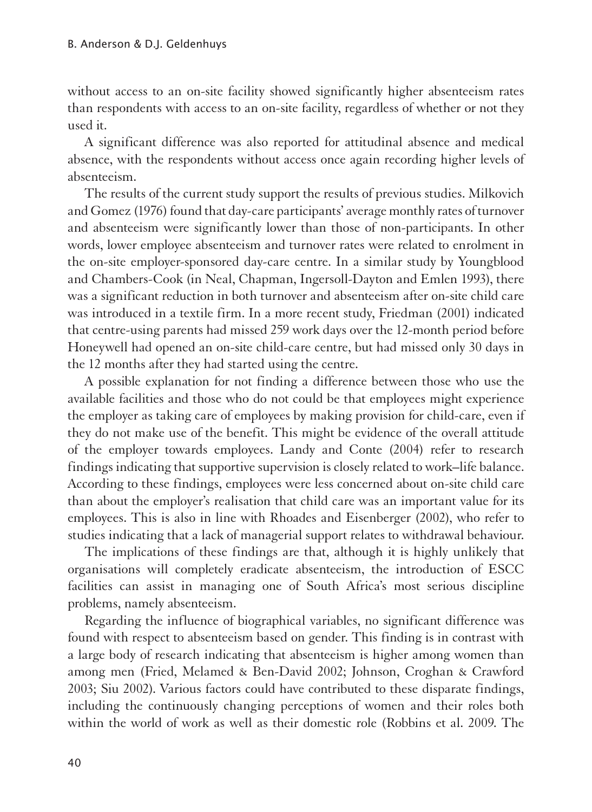without access to an on-site facility showed significantly higher absenteeism rates than respondents with access to an on-site facility, regardless of whether or not they used it.

A significant difference was also reported for attitudinal absence and medical absence, with the respondents without access once again recording higher levels of absenteeism.

The results of the current study support the results of previous studies. Milkovich and Gomez (1976) found that day-care participants' average monthly rates of turnover and absenteeism were significantly lower than those of non-participants. In other words, lower employee absenteeism and turnover rates were related to enrolment in the on-site employer-sponsored day-care centre. In a similar study by Youngblood and Chambers-Cook (in Neal, Chapman, Ingersoll-Dayton and Emlen 1993), there was a significant reduction in both turnover and absenteeism after on-site child care was introduced in a textile firm. In a more recent study, Friedman (2001) indicated that centre-using parents had missed 259 work days over the 12-month period before Honeywell had opened an on-site child-care centre, but had missed only 30 days in the 12 months after they had started using the centre.

A possible explanation for not finding a difference between those who use the available facilities and those who do not could be that employees might experience the employer as taking care of employees by making provision for child-care, even if they do not make use of the benefit. This might be evidence of the overall attitude of the employer towards employees. Landy and Conte (2004) refer to research findings indicating that supportive supervision is closely related to work**–**life balance. According to these findings, employees were less concerned about on-site child care than about the employer's realisation that child care was an important value for its employees. This is also in line with Rhoades and Eisenberger (2002), who refer to studies indicating that a lack of managerial support relates to withdrawal behaviour.

The implications of these findings are that, although it is highly unlikely that organisations will completely eradicate absenteeism, the introduction of ESCC facilities can assist in managing one of South Africa's most serious discipline problems, namely absenteeism.

Regarding the influence of biographical variables, no significant difference was found with respect to absenteeism based on gender. This finding is in contrast with a large body of research indicating that absenteeism is higher among women than among men (Fried, Melamed & Ben-David 2002; Johnson, Croghan & Crawford 2003; Siu 2002). Various factors could have contributed to these disparate findings, including the continuously changing perceptions of women and their roles both within the world of work as well as their domestic role (Robbins et al. 2009. The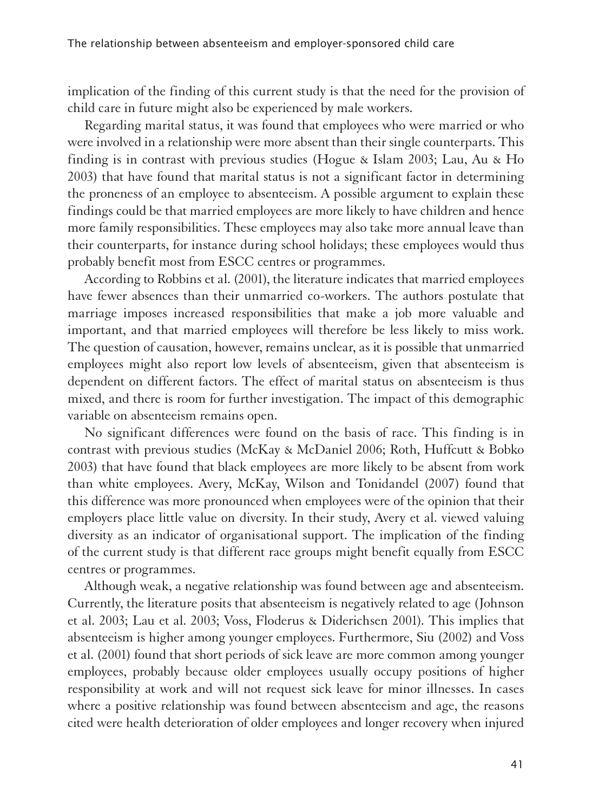implication of the finding of this current study is that the need for the provision of child care in future might also be experienced by male workers.

Regarding marital status, it was found that employees who were married or who were involved in a relationship were more absent than their single counterparts. This finding is in contrast with previous studies (Hogue & Islam 2003; Lau, Au & Ho 2003) that have found that marital status is not a significant factor in determining the proneness of an employee to absenteeism. A possible argument to explain these findings could be that married employees are more likely to have children and hence more family responsibilities. These employees may also take more annual leave than their counterparts, for instance during school holidays; these employees would thus probably benefit most from ESCC centres or programmes.

According to Robbins et al. (2001), the literature indicates that married employees have fewer absences than their unmarried co-workers. The authors postulate that marriage imposes increased responsibilities that make a job more valuable and important, and that married employees will therefore be less likely to miss work. The question of causation, however, remains unclear, as it is possible that unmarried employees might also report low levels of absenteeism, given that absenteeism is dependent on different factors. The effect of marital status on absenteeism is thus mixed, and there is room for further investigation. The impact of this demographic variable on absenteeism remains open.

No significant differences were found on the basis of race. This finding is in contrast with previous studies (McKay & McDaniel 2006; Roth, Huffcutt & Bobko 2003) that have found that black employees are more likely to be absent from work than white employees. Avery, McKay, Wilson and Tonidandel (2007) found that this difference was more pronounced when employees were of the opinion that their employers place little value on diversity. In their study, Avery et al. viewed valuing diversity as an indicator of organisational support. The implication of the finding of the current study is that different race groups might benefit equally from ESCC centres or programmes.

Although weak, a negative relationship was found between age and absenteeism. Currently, the literature posits that absenteeism is negatively related to age (Johnson et al. 2003; Lau et al. 2003; Voss, Floderus & Diderichsen 2001). This implies that absenteeism is higher among younger employees. Furthermore, Siu (2002) and Voss et al. (2001) found that short periods of sick leave are more common among younger employees, probably because older employees usually occupy positions of higher responsibility at work and will not request sick leave for minor illnesses. In cases where a positive relationship was found between absenteeism and age, the reasons cited were health deterioration of older employees and longer recovery when injured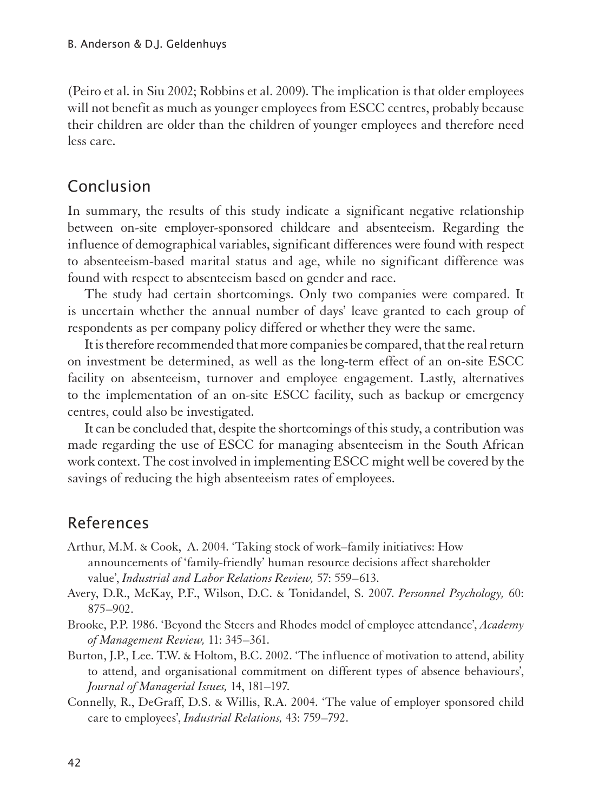(Peiro et al. in Siu 2002; Robbins et al. 2009). The implication is that older employees will not benefit as much as younger employees from ESCC centres, probably because their children are older than the children of younger employees and therefore need less care.

### Conclusion

1In summary, the results of this study indicate a significant negative relationship between on-site employer-sponsored childcare and absenteeism. Regarding the influence of demographical variables, significant differences were found with respect to absenteeism-based marital status and age, while no significant difference was found with respect to absenteeism based on gender and race.

The study had certain shortcomings. Only two companies were compared. It is uncertain whether the annual number of days' leave granted to each group of respondents as per company policy differed or whether they were the same.

It is therefore recommended that more companies be compared, that the real return on investment be determined, as well as the long-term effect of an on-site ESCC facility on absenteeism, turnover and employee engagement. Lastly, alternatives to the implementation of an on-site ESCC facility, such as backup or emergency centres, could also be investigated.

It can be concluded that, despite the shortcomings of this study, a contribution was made regarding the use of ESCC for managing absenteeism in the South African work context. The cost involved in implementing ESCC might well be covered by the savings of reducing the high absenteeism rates of employees.

## References

- Arthur, M.M. & Cook, A. 2004. 'Taking stock of work–family initiatives: How announcements of 'family-friendly' human resource decisions affect shareholder value', *Industrial and Labor Relations Review,* 57: 559–613.
- Avery, D.R., McKay, P.F., Wilson, D.C. & Tonidandel, S. 2007. *Personnel Psychology,* 60: 875–902.
- Brooke, P.P. 1986. 'Beyond the Steers and Rhodes model of employee attendance', *Academy of Management Review,* 11: 345–361.
- Burton, J.P., Lee. T.W. & Holtom, B.C. 2002. 'The influence of motivation to attend, ability to attend, and organisational commitment on different types of absence behaviours', *Journal of Managerial Issues,* 14, 181–197.
- Connelly, R., DeGraff, D.S. & Willis, R.A. 2004. 'The value of employer sponsored child care to employees', *Industrial Relations,* 43: 759–792.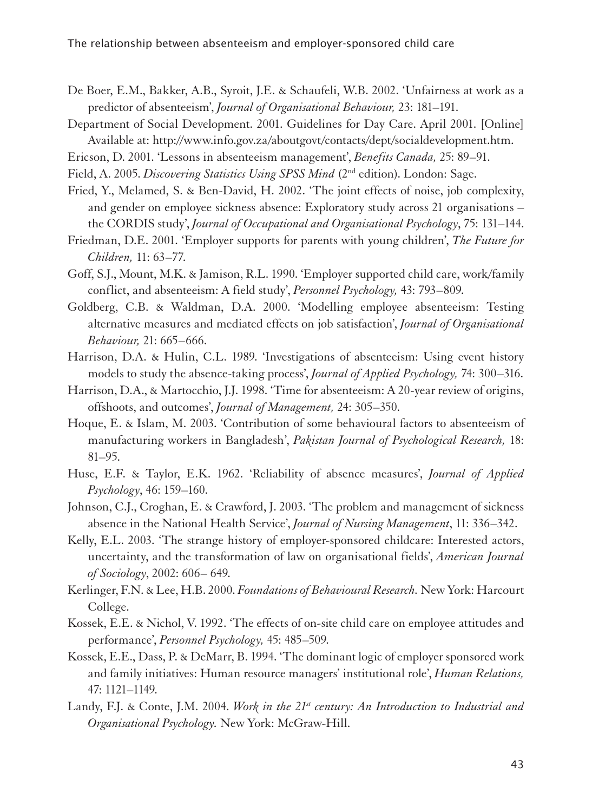- De Boer, E.M., Bakker, A.B., Syroit, J.E. & Schaufeli, W.B. 2002. 'Unfairness at work as a predictor of absenteeism', *Journal of Organisational Behaviour,* 23: 181–191.
- Department of Social Development. 2001. Guidelines for Day Care. April 2001. [Online] Available at: http://www.info.gov.za/aboutgovt/contacts/dept/socialdevelopment.htm.
- Ericson, D. 2001. 'Lessons in absenteeism management', *Benefits Canada,* 25: 89–91.
- Field, A. 2005. *Discovering Statistics Using SPSS Mind* (2nd edition). London: Sage.
- Fried, Y., Melamed, S. & Ben-David, H. 2002. 'The joint effects of noise, job complexity, and gender on employee sickness absence: Exploratory study across 21 organisations – the CORDIS study', *Journal of Occupational and Organisational Psychology*, 75: 131–144.
- Friedman, D.E. 2001. 'Employer supports for parents with young children', *The Future for Children,* 11: 63–77.
- Goff, S.J., Mount, M.K. & Jamison, R.L. 1990. 'Employer supported child care, work/family conflict, and absenteeism: A field study', *Personnel Psychology,* 43: 793–809.
- Goldberg, C.B. & Waldman, D.A. 2000. 'Modelling employee absenteeism: Testing alternative measures and mediated effects on job satisfaction', *Journal of Organisational Behaviour,* 21: 665–666.
- Harrison, D.A. & Hulin, C.L. 1989. 'Investigations of absenteeism: Using event history models to study the absence-taking process', *Journal of Applied Psychology,* 74: 300–316.
- Harrison, D.A., & Martocchio, J.J. 1998. 'Time for absenteeism: A 20-year review of origins, offshoots, and outcomes', *Journal of Management,* 24: 305–350.
- Hoque, E. & Islam, M. 2003. 'Contribution of some behavioural factors to absenteeism of manufacturing workers in Bangladesh', *Pakistan Journal of Psychological Research,* 18: 81–95.
- Huse, E.F. & Taylor, E.K. 1962. 'Reliability of absence measures', *Journal of Applied Psychology*, 46: 159–160.
- Johnson, C.J., Croghan, E. & Crawford, J. 2003. 'The problem and management of sickness absence in the National Health Service', *Journal of Nursing Management*, 11: 336–342.
- Kelly, E.L. 2003. 'The strange history of employer-sponsored childcare: Interested actors, uncertainty, and the transformation of law on organisational fields', *American Journal of Sociology*, 2002: 606– 649.
- Kerlinger, F.N. & Lee, H.B. 2000. *Foundations of Behavioural Research.* New York: Harcourt College.
- Kossek, E.E. & Nichol, V. 1992. 'The effects of on-site child care on employee attitudes and performance', *Personnel Psychology,* 45: 485–509.
- Kossek, E.E., Dass, P. & DeMarr, B. 1994. 'The dominant logic of employer sponsored work and family initiatives: Human resource managers' institutional role', *Human Relations,*  47: 1121–1149.
- Landy, F.J. & Conte, J.M. 2004. *Work in the 21<sup>st</sup> century: An Introduction to Industrial and Organisational Psychology.* New York: McGraw-Hill.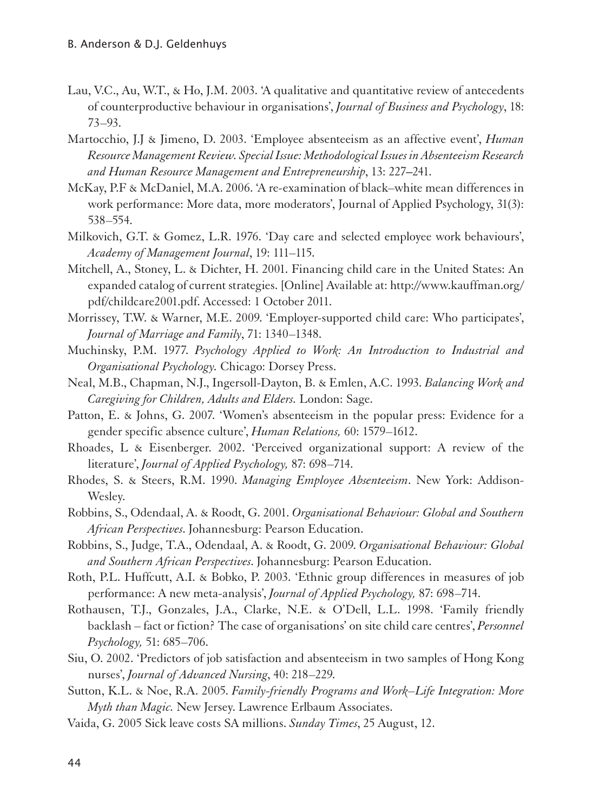- Lau, V.C., Au, W.T., & Ho, J.M. 2003. 'A qualitative and quantitative review of antecedents of counterproductive behaviour in organisations', *Journal of Business and Psychology*, 18: 73–93.
- Martocchio, J.J & Jimeno, D. 2003. 'Employee absenteeism as an affective event', *Human Resource Management Review. Special Issue: Methodological Issues in Absenteeism Research and Human Resource Management and Entrepreneurship*, 13: 227**–**241.
- McKay, P.F & McDaniel, M.A. 2006. 'A re-examination of black–white mean differences in work performance: More data, more moderators', Journal of Applied Psychology, 31(3): 538–554.
- Milkovich, G.T. & Gomez, L.R. 1976. 'Day care and selected employee work behaviours', *Academy of Management Journal*, 19: 111–115.
- Mitchell, A., Stoney, L. & Dichter, H. 2001. Financing child care in the United States: An expanded catalog of current strategies. [Online] Available at: http://www.kauffman.org/ pdf/childcare2001.pdf. Accessed: 1 October 2011.
- Morrissey, T.W. & Warner, M.E. 2009. 'Employer-supported child care: Who participates', *Journal of Marriage and Family*, 71: 1340–1348.
- Muchinsky, P.M. 1977. *Psychology Applied to Work: An Introduction to Industrial and Organisational Psychology.* Chicago: Dorsey Press.
- Neal, M.B., Chapman, N.J., Ingersoll-Dayton, B. & Emlen, A.C. 1993. *Balancing Work and Caregiving for Children, Adults and Elders.* London: Sage.
- Patton, E. & Johns, G. 2007. 'Women's absenteeism in the popular press: Evidence for a gender specific absence culture', *Human Relations,* 60: 1579–1612.
- Rhoades, L & Eisenberger. 2002. 'Perceived organizational support: A review of the literature', *Journal of Applied Psychology,* 87: 698–714.
- Rhodes, S. & Steers, R.M. 1990. *Managing Employee Absenteeism*. New York: Addison-Wesley.
- Robbins, S., Odendaal, A. & Roodt, G. 2001. *Organisational Behaviour: Global and Southern African Perspectives*. Johannesburg: Pearson Education.
- Robbins, S., Judge, T.A., Odendaal, A. & Roodt, G. 2009. *Organisational Behaviour: Global and Southern African Perspectives*. Johannesburg: Pearson Education.
- Roth, P.L. Huffcutt, A.I. & Bobko, P. 2003. 'Ethnic group differences in measures of job performance: A new meta-analysis', *Journal of Applied Psychology,* 87: 698–714.
- Rothausen, T.J., Gonzales, J.A., Clarke, N.E. & O'Dell, L.L. 1998. 'Family friendly backlash – fact or fiction? The case of organisations' on site child care centres', *Personnel Psychology,* 51: 685–706.
- Siu, O. 2002. 'Predictors of job satisfaction and absenteeism in two samples of Hong Kong nurses', *Journal of Advanced Nursing*, 40: 218–229.
- Sutton, K.L. & Noe, R.A. 2005. *Family-friendly Programs and Work–Life Integration: More Myth than Magic.* New Jersey. Lawrence Erlbaum Associates.
- Vaida, G. 2005 Sick leave costs SA millions. *Sunday Times*, 25 August, 12.